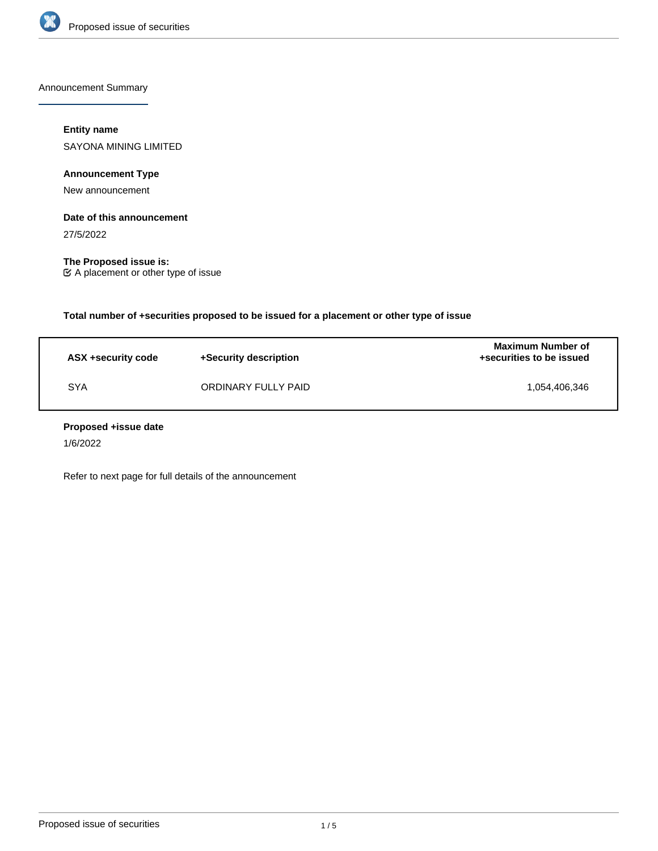

Announcement Summary

# **Entity name**

SAYONA MINING LIMITED

**Announcement Type**

New announcement

### **Date of this announcement**

27/5/2022

**The Proposed issue is:** A placement or other type of issue

**Total number of +securities proposed to be issued for a placement or other type of issue**

| ASX +security code | +Security description | <b>Maximum Number of</b><br>+securities to be issued |
|--------------------|-----------------------|------------------------------------------------------|
| <b>SYA</b>         | ORDINARY FULLY PAID   | 1.054.406.346                                        |

### **Proposed +issue date**

1/6/2022

Refer to next page for full details of the announcement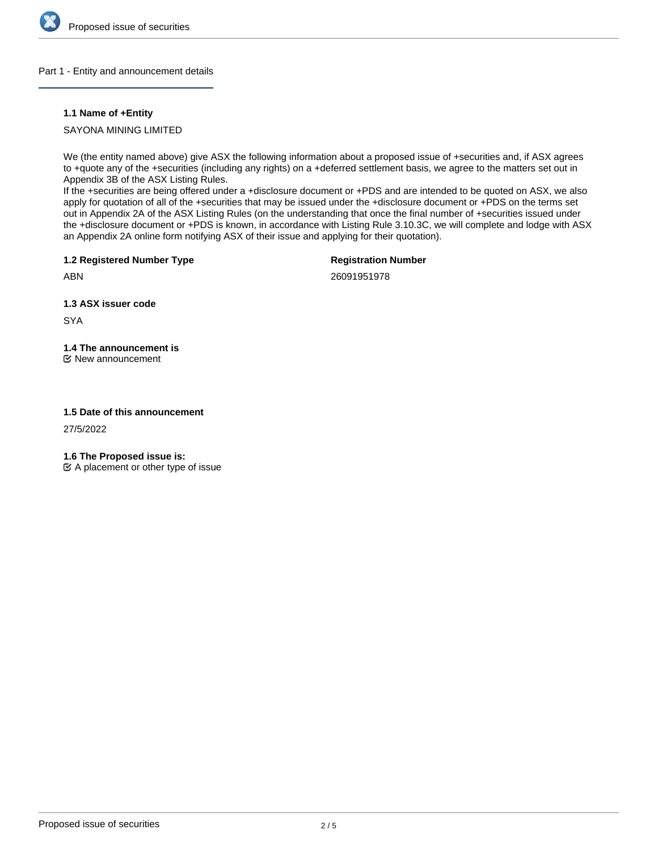

### Part 1 - Entity and announcement details

## **1.1 Name of +Entity**

SAYONA MINING LIMITED

We (the entity named above) give ASX the following information about a proposed issue of +securities and, if ASX agrees to +quote any of the +securities (including any rights) on a +deferred settlement basis, we agree to the matters set out in Appendix 3B of the ASX Listing Rules.

If the +securities are being offered under a +disclosure document or +PDS and are intended to be quoted on ASX, we also apply for quotation of all of the +securities that may be issued under the +disclosure document or +PDS on the terms set out in Appendix 2A of the ASX Listing Rules (on the understanding that once the final number of +securities issued under the +disclosure document or +PDS is known, in accordance with Listing Rule 3.10.3C, we will complete and lodge with ASX an Appendix 2A online form notifying ASX of their issue and applying for their quotation).

**1.2 Registered Number Type**

**Registration Number**

ABN

26091951978

**1.3 ASX issuer code**

**SYA** 

# **1.4 The announcement is**

New announcement

### **1.5 Date of this announcement**

27/5/2022

**1.6 The Proposed issue is:**

 $\mathfrak{C}$  A placement or other type of issue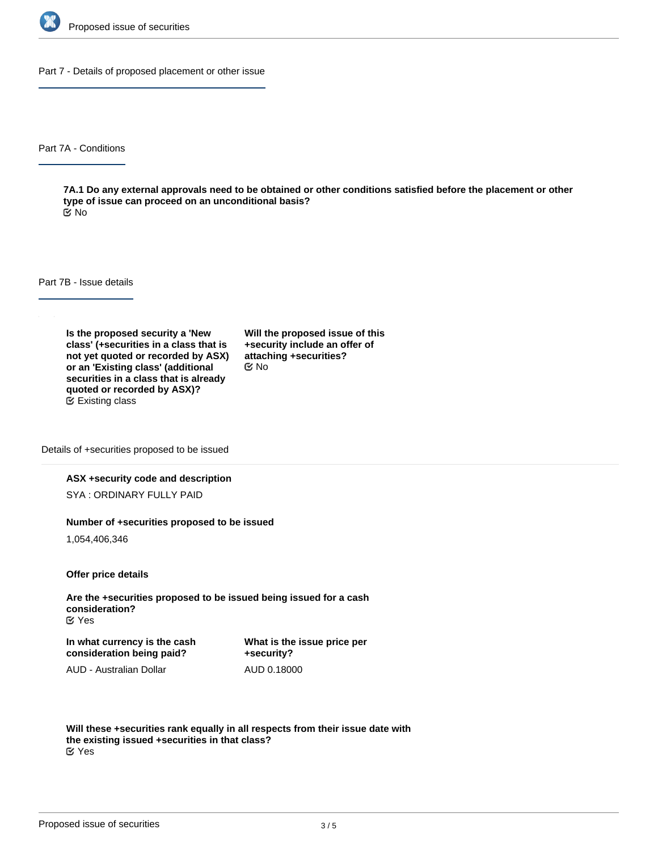

Part 7 - Details of proposed placement or other issue

Part 7A - Conditions

**7A.1 Do any external approvals need to be obtained or other conditions satisfied before the placement or other type of issue can proceed on an unconditional basis?** No

Part 7B - Issue details

**Is the proposed security a 'New class' (+securities in a class that is not yet quoted or recorded by ASX) or an 'Existing class' (additional securities in a class that is already quoted or recorded by ASX)?** Existing class

**Will the proposed issue of this +security include an offer of attaching +securities?** No

Details of +securities proposed to be issued

#### **ASX +security code and description**

SYA : ORDINARY FULLY PAID

#### **Number of +securities proposed to be issued**

1,054,406,346

**Offer price details**

**Are the +securities proposed to be issued being issued for a cash consideration?** Yes

**In what currency is the cash consideration being paid?**

**What is the issue price per +security?** AUD 0.18000

AUD - Australian Dollar

**Will these +securities rank equally in all respects from their issue date with the existing issued +securities in that class?** Yes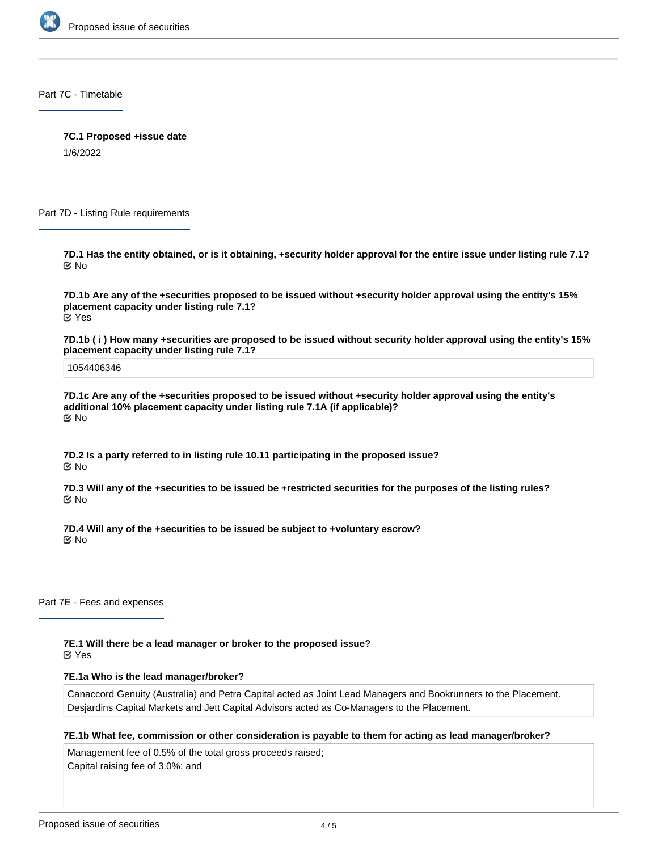

Part 7C - Timetable

**7C.1 Proposed +issue date**

1/6/2022

Part 7D - Listing Rule requirements

**7D.1 Has the entity obtained, or is it obtaining, +security holder approval for the entire issue under listing rule 7.1?** No

**7D.1b Are any of the +securities proposed to be issued without +security holder approval using the entity's 15% placement capacity under listing rule 7.1?** Yes

**7D.1b ( i ) How many +securities are proposed to be issued without security holder approval using the entity's 15% placement capacity under listing rule 7.1?**

1054406346

**7D.1c Are any of the +securities proposed to be issued without +security holder approval using the entity's additional 10% placement capacity under listing rule 7.1A (if applicable)?** No

**7D.2 Is a party referred to in listing rule 10.11 participating in the proposed issue?** No

**7D.3 Will any of the +securities to be issued be +restricted securities for the purposes of the listing rules?** No

**7D.4 Will any of the +securities to be issued be subject to +voluntary escrow?** No

Part 7E - Fees and expenses

**7E.1 Will there be a lead manager or broker to the proposed issue?**

Yes

### **7E.1a Who is the lead manager/broker?**

Canaccord Genuity (Australia) and Petra Capital acted as Joint Lead Managers and Bookrunners to the Placement. Desjardins Capital Markets and Jett Capital Advisors acted as Co-Managers to the Placement.

### **7E.1b What fee, commission or other consideration is payable to them for acting as lead manager/broker?**

Management fee of 0.5% of the total gross proceeds raised; Capital raising fee of 3.0%; and